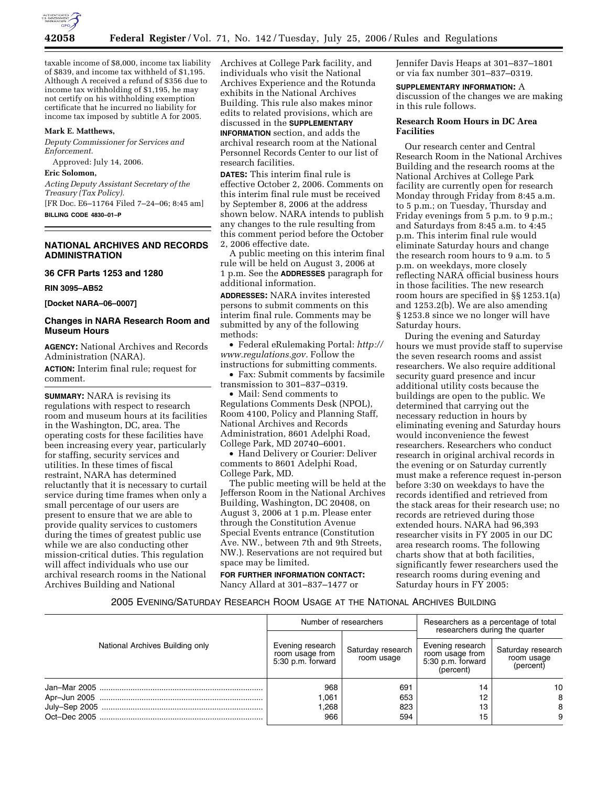

taxable income of \$8,000, income tax liability of \$839, and income tax withheld of \$1,195. Although A received a refund of \$356 due to income tax withholding of \$1,195, he may not certify on his withholding exemption certificate that he incurred no liability for income tax imposed by subtitle A for 2005.

## **Mark E. Matthews,**

*Deputy Commissioner for Services and Enforcement.* 

Approved: July 14, 2006.

**Eric Solomon,** 

*Acting Deputy Assistant Secretary of the Treasury (Tax Policy).*  [FR Doc. E6–11764 Filed 7–24–06; 8:45 am]

**BILLING CODE 4830–01–P** 

## **NATIONAL ARCHIVES AND RECORDS ADMINISTRATION**

## **36 CFR Parts 1253 and 1280**

**RIN 3095–AB52** 

**[Docket NARA–06–0007]** 

# **Changes in NARA Research Room and Museum Hours**

**AGENCY:** National Archives and Records Administration (NARA).

**ACTION:** Interim final rule; request for comment.

**SUMMARY:** NARA is revising its regulations with respect to research room and museum hours at its facilities in the Washington, DC, area. The operating costs for these facilities have been increasing every year, particularly for staffing, security services and utilities. In these times of fiscal restraint, NARA has determined reluctantly that it is necessary to curtail service during time frames when only a small percentage of our users are present to ensure that we are able to provide quality services to customers during the times of greatest public use while we are also conducting other mission-critical duties. This regulation will affect individuals who use our archival research rooms in the National Archives Building and National

Archives at College Park facility, and individuals who visit the National Archives Experience and the Rotunda exhibits in the National Archives Building. This rule also makes minor edits to related provisions, which are discussed in the **SUPPLEMENTARY**

**INFORMATION** section, and adds the archival research room at the National Personnel Records Center to our list of research facilities.

**DATES:** This interim final rule is effective October 2, 2006. Comments on this interim final rule must be received by September 8, 2006 at the address shown below. NARA intends to publish any changes to the rule resulting from this comment period before the October 2, 2006 effective date.

A public meeting on this interim final rule will be held on August 3, 2006 at 1 p.m. See the **ADDRESSES** paragraph for additional information.

**ADDRESSES:** NARA invites interested persons to submit comments on this interim final rule. Comments may be submitted by any of the following methods:

• Federal eRulemaking Portal: *http:// www.regulations.gov.* Follow the instructions for submitting comments.

• Fax: Submit comments by facsimile transmission to 301–837–0319.

• Mail: Send comments to Regulations Comments Desk (NPOL), Room 4100, Policy and Planning Staff, National Archives and Records Administration, 8601 Adelphi Road, College Park, MD 20740–6001.

• Hand Delivery or Courier: Deliver comments to 8601 Adelphi Road, College Park, MD.

The public meeting will be held at the Jefferson Room in the National Archives Building, Washington, DC 20408, on August 3, 2006 at 1 p.m. Please enter through the Constitution Avenue Special Events entrance (Constitution Ave. NW., between 7th and 9th Streets, NW.). Reservations are not required but space may be limited.

**FOR FURTHER INFORMATION CONTACT:**  Nancy Allard at 301–837–1477 or

Jennifer Davis Heaps at 301–837–1801 or via fax number 301–837–0319.

### **SUPPLEMENTARY INFORMATION:** A

discussion of the changes we are making in this rule follows.

## **Research Room Hours in DC Area Facilities**

Our research center and Central Research Room in the National Archives Building and the research rooms at the National Archives at College Park facility are currently open for research Monday through Friday from 8:45 a.m. to 5 p.m.; on Tuesday, Thursday and Friday evenings from 5 p.m. to 9 p.m.; and Saturdays from 8:45 a.m. to 4:45 p.m. This interim final rule would eliminate Saturday hours and change the research room hours to 9 a.m. to 5 p.m. on weekdays, more closely reflecting NARA official business hours in those facilities. The new research room hours are specified in §§ 1253.1(a) and 1253.2(b). We are also amending § 1253.8 since we no longer will have Saturday hours.

During the evening and Saturday hours we must provide staff to supervise the seven research rooms and assist researchers. We also require additional security guard presence and incur additional utility costs because the buildings are open to the public. We determined that carrying out the necessary reduction in hours by eliminating evening and Saturday hours would inconvenience the fewest researchers. Researchers who conduct research in original archival records in the evening or on Saturday currently must make a reference request in-person before 3:30 on weekdays to have the records identified and retrieved from the stack areas for their research use; no records are retrieved during those extended hours. NARA had 96,393 researcher visits in FY 2005 in our DC area research rooms. The following charts show that at both facilities, significantly fewer researchers used the research rooms during evening and Saturday hours in FY 2005:

## 2005 EVENING/SATURDAY RESEARCH ROOM USAGE AT THE NATIONAL ARCHIVES BUILDING

|                                 | Number of researchers                                    |                                 | Researchers as a percentage of total<br>researchers during the quarter |                                              |
|---------------------------------|----------------------------------------------------------|---------------------------------|------------------------------------------------------------------------|----------------------------------------------|
| National Archives Building only | Evening research<br>room usage from<br>5:30 p.m. forward | Saturday research<br>room usage | Evening research<br>room usage from<br>5:30 p.m. forward<br>(percent)  | Saturday research<br>room usage<br>(percent) |
|                                 | 968                                                      | 691                             | 14                                                                     | 10                                           |
|                                 | 1.061                                                    | 653                             | 12                                                                     | 8                                            |
|                                 | 1,268                                                    | 823                             | 13                                                                     | 8                                            |
|                                 | 966                                                      | 594                             | 15                                                                     | 9                                            |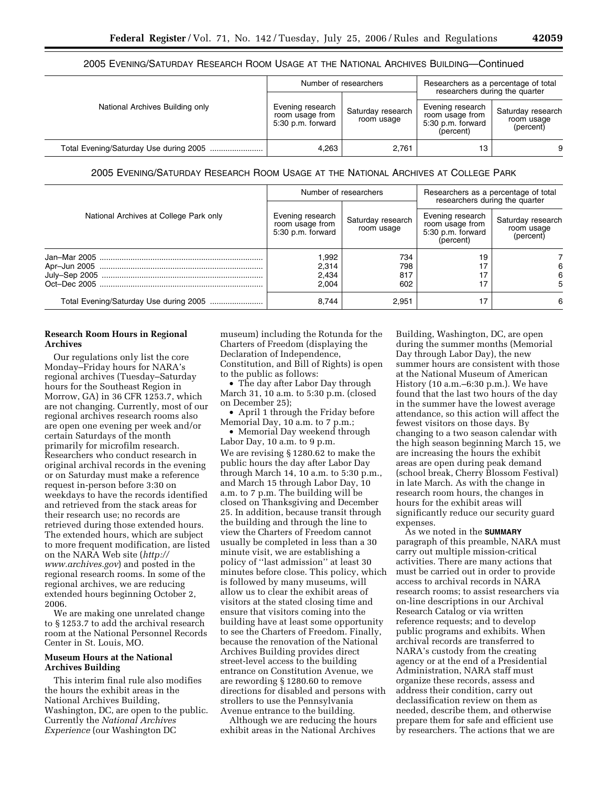| National Archives Building only | Number of researchers                                    |                                 | Researchers as a percentage of total<br>researchers during the quarter |                                              |
|---------------------------------|----------------------------------------------------------|---------------------------------|------------------------------------------------------------------------|----------------------------------------------|
|                                 | Evening research<br>room usage from<br>5:30 p.m. forward | Saturday research<br>room usage | Evening research<br>room usage from<br>5:30 p.m. forward<br>(percent)  | Saturday research<br>room usage<br>(percent) |
|                                 | 4.263                                                    | 2.761                           | 13                                                                     | 9                                            |

## 2005 EVENING/SATURDAY RESEARCH ROOM USAGE AT THE NATIONAL ARCHIVES AT COLLEGE PARK

| National Archives at College Park only | Number of researchers                                    |                                 | Researchers as a percentage of total<br>researchers during the quarter |                                              |
|----------------------------------------|----------------------------------------------------------|---------------------------------|------------------------------------------------------------------------|----------------------------------------------|
|                                        | Evening research<br>room usage from<br>5:30 p.m. forward | Saturday research<br>room usage | Evening research<br>room usage from<br>5:30 p.m. forward<br>(percent)  | Saturday research<br>room usage<br>(percent) |
|                                        | 1.992                                                    | 734                             | 19                                                                     |                                              |
|                                        | 2.314                                                    | 798                             |                                                                        | 6                                            |
|                                        | 2,434                                                    | 817                             |                                                                        | 6                                            |
|                                        | 2.004                                                    | 602                             |                                                                        |                                              |
|                                        | 8.744                                                    | 2.951                           |                                                                        | 6                                            |

### **Research Room Hours in Regional Archives**

Our regulations only list the core Monday–Friday hours for NARA's regional archives (Tuesday–Saturday hours for the Southeast Region in Morrow, GA) in 36 CFR 1253.7, which are not changing. Currently, most of our regional archives research rooms also are open one evening per week and/or certain Saturdays of the month primarily for microfilm research. Researchers who conduct research in original archival records in the evening or on Saturday must make a reference request in-person before 3:30 on weekdays to have the records identified and retrieved from the stack areas for their research use; no records are retrieved during those extended hours. The extended hours, which are subject to more frequent modification, are listed on the NARA Web site (*http:// www.archives.gov*) and posted in the regional research rooms. In some of the regional archives, we are reducing extended hours beginning October 2, 2006.

We are making one unrelated change to § 1253.7 to add the archival research room at the National Personnel Records Center in St. Louis, MO.

## **Museum Hours at the National Archives Building**

This interim final rule also modifies the hours the exhibit areas in the National Archives Building, Washington, DC, are open to the public. Currently the *National Archives Experience* (our Washington DC

museum) including the Rotunda for the Charters of Freedom (displaying the Declaration of Independence, Constitution, and Bill of Rights) is open to the public as follows:

• The day after Labor Day through March 31, 10 a.m. to 5:30 p.m. (closed on December 25);

• April 1 through the Friday before Memorial Day, 10 a.m. to 7 p.m.;

• Memorial Day weekend through Labor Day, 10 a.m. to 9 p.m.

We are revising § 1280.62 to make the public hours the day after Labor Day through March 14, 10 a.m. to 5:30 p.m., and March 15 through Labor Day, 10 a.m. to 7 p.m. The building will be closed on Thanksgiving and December 25. In addition, because transit through the building and through the line to view the Charters of Freedom cannot usually be completed in less than a 30 minute visit, we are establishing a policy of ''last admission'' at least 30 minutes before close. This policy, which is followed by many museums, will allow us to clear the exhibit areas of visitors at the stated closing time and ensure that visitors coming into the building have at least some opportunity to see the Charters of Freedom. Finally, because the renovation of the National Archives Building provides direct street-level access to the building entrance on Constitution Avenue, we are rewording § 1280.60 to remove directions for disabled and persons with strollers to use the Pennsylvania Avenue entrance to the building.

Although we are reducing the hours exhibit areas in the National Archives

Building, Washington, DC, are open during the summer months (Memorial Day through Labor Day), the new summer hours are consistent with those at the National Museum of American History (10 a.m.–6:30 p.m.). We have found that the last two hours of the day in the summer have the lowest average attendance, so this action will affect the fewest visitors on those days. By changing to a two season calendar with the high season beginning March 15, we are increasing the hours the exhibit areas are open during peak demand (school break, Cherry Blossom Festival) in late March. As with the change in research room hours, the changes in hours for the exhibit areas will significantly reduce our security guard expenses.

As we noted in the **SUMMARY** paragraph of this preamble, NARA must carry out multiple mission-critical activities. There are many actions that must be carried out in order to provide access to archival records in NARA research rooms; to assist researchers via on-line descriptions in our Archival Research Catalog or via written reference requests; and to develop public programs and exhibits. When archival records are transferred to NARA's custody from the creating agency or at the end of a Presidential Administration, NARA staff must organize these records, assess and address their condition, carry out declassification review on them as needed, describe them, and otherwise prepare them for safe and efficient use by researchers. The actions that we are